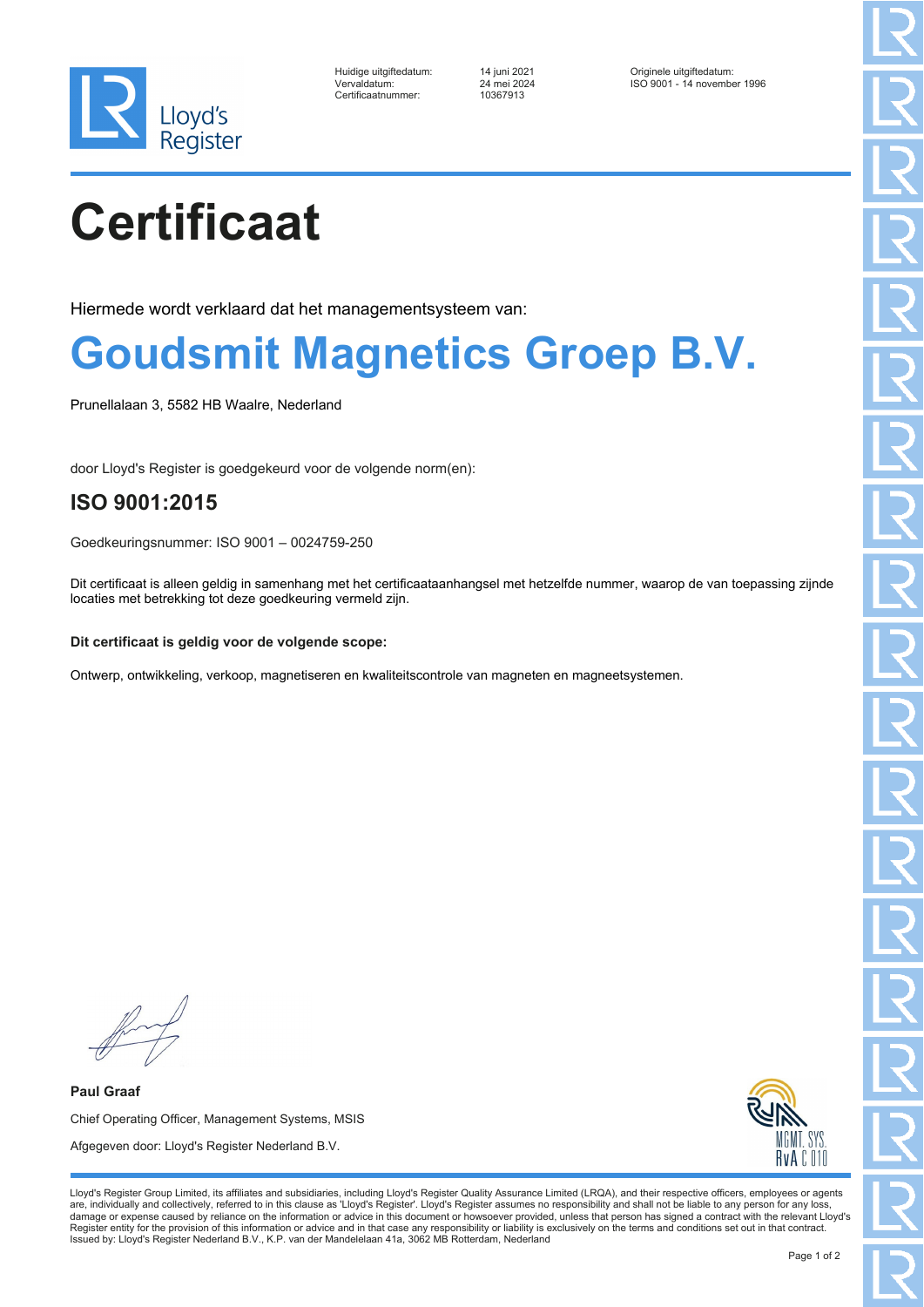

| Huidige uitgiftedatum: |
|------------------------|
| Vervaldatum:           |
| Certificaatnummer:     |

Certificaatnummer: 10367913

Huidige uitgiftedatum: 14 juni 2021 Originele uitgiftedatum: ISO 9001 - 14 november 1996

# **Certificaat**

Hiermede wordt verklaard dat het managementsysteem van:

### **Goudsmit Magnetics Groep B.V.**

Prunellalaan 3, 5582 HB Waalre, Nederland

door Lloyd's Register is goedgekeurd voor de volgende norm(en):

### **ISO 9001:2015**

Goedkeuringsnummer: ISO 9001 – 0024759-250

Dit certificaat is alleen geldig in samenhang met het certificaataanhangsel met hetzelfde nummer, waarop de van toepassing zijnde locaties met betrekking tot deze goedkeuring vermeld zijn.

#### **Dit certificaat is geldig voor de volgende scope:**

Ontwerp, ontwikkeling, verkoop, magnetiseren en kwaliteitscontrole van magneten en magneetsystemen.

**Paul Graaf** Chief Operating Officer, Management Systems, MSIS Afgegeven door: Lloyd's Register Nederland B.V.



Lloyd's Register Group Limited, its affiliates and subsidiaries, including Lloyd's Register Quality Assurance Limited (LRQA), and their respective officers, employees or agents are, individually and collectively, referred to in this clause as 'Lloyd's Register'. Lloyd's Register assumes no responsibility and shall not be liable to any person for any loss,<br>damage or expense caused by reliance on t Register entity for the provision of this information or advice and in that case any responsibility or liability is exclusively on the terms and conditions set out in that contract. Issued by: Lloyd's Register Nederland B.V., K.P. van der Mandelelaan 41a, 3062 MB Rotterdam, Nederland